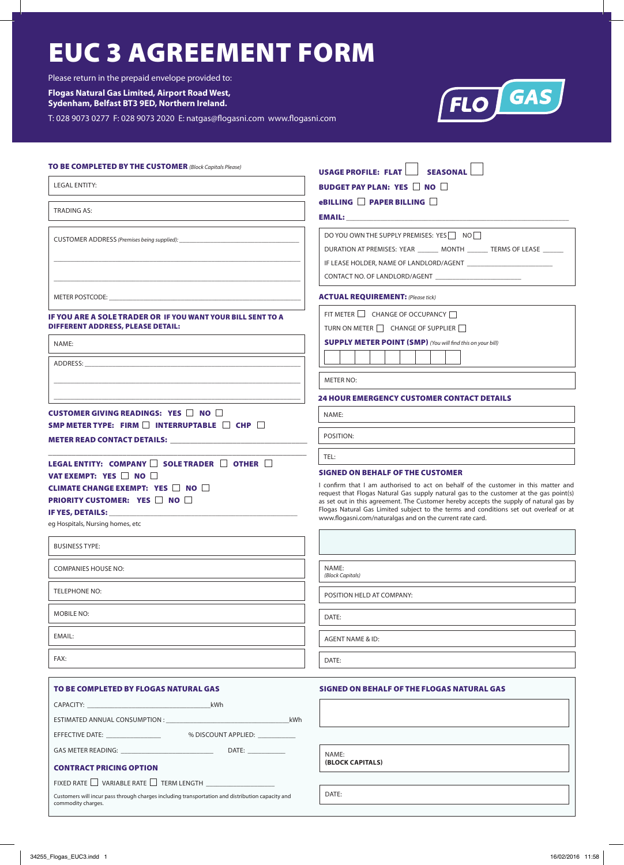## EUC 3 AGREEMENT FORM

Please return in the prepaid envelope provided to:

**Flogas Natural Gas Limited, Airport Road West,**

**Sydenham, Belfast BT3 9ED, Northern Ireland.**

T: 028 9073 0277 F: 028 9073 2020 E: natgas@flogasni.com www.flogasni.com



| <b>LEGAL ENTITY:</b>                                                                                                                                                                                                           | <b>BUDGET PAY PLAN: YES NO</b>                                                                                                                                                                                                                                                                                                         |  |  |  |  |  |  |
|--------------------------------------------------------------------------------------------------------------------------------------------------------------------------------------------------------------------------------|----------------------------------------------------------------------------------------------------------------------------------------------------------------------------------------------------------------------------------------------------------------------------------------------------------------------------------------|--|--|--|--|--|--|
|                                                                                                                                                                                                                                | eBILLING ■ PAPER BILLING                                                                                                                                                                                                                                                                                                               |  |  |  |  |  |  |
| <b>TRADING AS:</b>                                                                                                                                                                                                             |                                                                                                                                                                                                                                                                                                                                        |  |  |  |  |  |  |
|                                                                                                                                                                                                                                | DO YOU OWN THE SUPPLY PREMISES: YES   NO<br>DURATION AT PREMISES: YEAR ________ MONTH _______ TERMS OF LEASE ______<br>CONTACT NO. OF LANDLORD/AGENT _____________________________                                                                                                                                                     |  |  |  |  |  |  |
| METER POSTCODE: NATIONAL PROPERTY AND THE CONTRACT OF THE CONTRACT OF THE CONTRACT OF THE CONTRACT OF THE CONTRACT OF THE CONTRACT OF THE CONTRACT OF THE CONTRACT OF THE CONTRACT OF THE CONTRACT OF THE CONTRACT OF THE CONT | <b>ACTUAL REQUIREMENT: (Please tick)</b>                                                                                                                                                                                                                                                                                               |  |  |  |  |  |  |
| IF YOU ARE A SOLE TRADER OR IF YOU WANT YOUR BILL SENT TO A<br><b>DIFFERENT ADDRESS, PLEASE DETAIL:</b>                                                                                                                        | FIT METER <b>CHANGE OF OCCUPANCY</b><br>TURN ON METER   CHANGE OF SUPPLIER                                                                                                                                                                                                                                                             |  |  |  |  |  |  |
| NAME:                                                                                                                                                                                                                          | <b>SUPPLY METER POINT (SMP)</b> (You will find this on your bill)                                                                                                                                                                                                                                                                      |  |  |  |  |  |  |
|                                                                                                                                                                                                                                |                                                                                                                                                                                                                                                                                                                                        |  |  |  |  |  |  |
|                                                                                                                                                                                                                                | <b>METER NO:</b>                                                                                                                                                                                                                                                                                                                       |  |  |  |  |  |  |
|                                                                                                                                                                                                                                | <b>24 HOUR EMERGENCY CUSTOMER CONTACT DETAILS</b>                                                                                                                                                                                                                                                                                      |  |  |  |  |  |  |
| <b>CUSTOMER GIVING READINGS: YES NO DI</b>                                                                                                                                                                                     | NAME:                                                                                                                                                                                                                                                                                                                                  |  |  |  |  |  |  |
| SMP METER TYPE: FIRM $\Box$ INTERRUPTABLE $\Box$ CHP $\Box$                                                                                                                                                                    | POSITION:                                                                                                                                                                                                                                                                                                                              |  |  |  |  |  |  |
|                                                                                                                                                                                                                                | TEL:                                                                                                                                                                                                                                                                                                                                   |  |  |  |  |  |  |
| LEGAL ENTITY: COMPANY GOLETRADER GOTHER G                                                                                                                                                                                      |                                                                                                                                                                                                                                                                                                                                        |  |  |  |  |  |  |
| VAT EXEMPT: YES NO                                                                                                                                                                                                             | <b>SIGNED ON BEHALF OF THE CUSTOMER</b><br>I confirm that I am authorised to act on behalf of the customer in this matter and                                                                                                                                                                                                          |  |  |  |  |  |  |
| <b>CLIMATE CHANGE EXEMPT: YES NO</b><br><b>PRIORITY CUSTOMER: YES NO</b><br>IF YES, DETAILS: New YES, New York 1997<br>eg Hospitals, Nursing homes, etc                                                                        | request that Flogas Natural Gas supply natural gas to the customer at the gas point(s)<br>as set out in this agreement. The Customer hereby accepts the supply of natural gas by<br>Flogas Natural Gas Limited subject to the terms and conditions set out overleaf or at<br>www.flogasni.com/naturalgas and on the current rate card. |  |  |  |  |  |  |
| <b>BUSINESS TYPE:</b>                                                                                                                                                                                                          |                                                                                                                                                                                                                                                                                                                                        |  |  |  |  |  |  |
| <b>COMPANIES HOUSE NO:</b>                                                                                                                                                                                                     | NAME:<br>(Block Capitals)                                                                                                                                                                                                                                                                                                              |  |  |  |  |  |  |
| <b>TELEPHONE NO:</b>                                                                                                                                                                                                           | POSITION HELD AT COMPANY:                                                                                                                                                                                                                                                                                                              |  |  |  |  |  |  |
| <b>MOBILE NO:</b>                                                                                                                                                                                                              | DATE:                                                                                                                                                                                                                                                                                                                                  |  |  |  |  |  |  |
| EMAIL:                                                                                                                                                                                                                         | <b>AGENT NAME &amp; ID:</b>                                                                                                                                                                                                                                                                                                            |  |  |  |  |  |  |
| FAX:                                                                                                                                                                                                                           | DATE:                                                                                                                                                                                                                                                                                                                                  |  |  |  |  |  |  |
| TO BE COMPLETED BY FLOGAS NATURAL GAS                                                                                                                                                                                          | <b>SIGNED ON BEHALF OF THE FLOGAS NATURAL GAS</b>                                                                                                                                                                                                                                                                                      |  |  |  |  |  |  |
| CAPACITY: New York CAPACITY:                                                                                                                                                                                                   |                                                                                                                                                                                                                                                                                                                                        |  |  |  |  |  |  |
| <b>Example 2018</b> RWh                                                                                                                                                                                                        |                                                                                                                                                                                                                                                                                                                                        |  |  |  |  |  |  |
| EFFECTIVE DATE: _________________________________ % DISCOUNT APPLIED: ___________                                                                                                                                              |                                                                                                                                                                                                                                                                                                                                        |  |  |  |  |  |  |
|                                                                                                                                                                                                                                |                                                                                                                                                                                                                                                                                                                                        |  |  |  |  |  |  |
| <b>CONTRACT PRICING OPTION</b>                                                                                                                                                                                                 | NAME:<br>(BLOCK CAPITALS)                                                                                                                                                                                                                                                                                                              |  |  |  |  |  |  |
| FIXED RATE □ VARIABLE RATE □ TERM LENGTH                                                                                                                                                                                       |                                                                                                                                                                                                                                                                                                                                        |  |  |  |  |  |  |
| Customers will incur pass through charges including transportation and distribution capacity and                                                                                                                               | DATE:                                                                                                                                                                                                                                                                                                                                  |  |  |  |  |  |  |

commodity charges.

Customers will incur pass through charges including transportation and distribution capacity and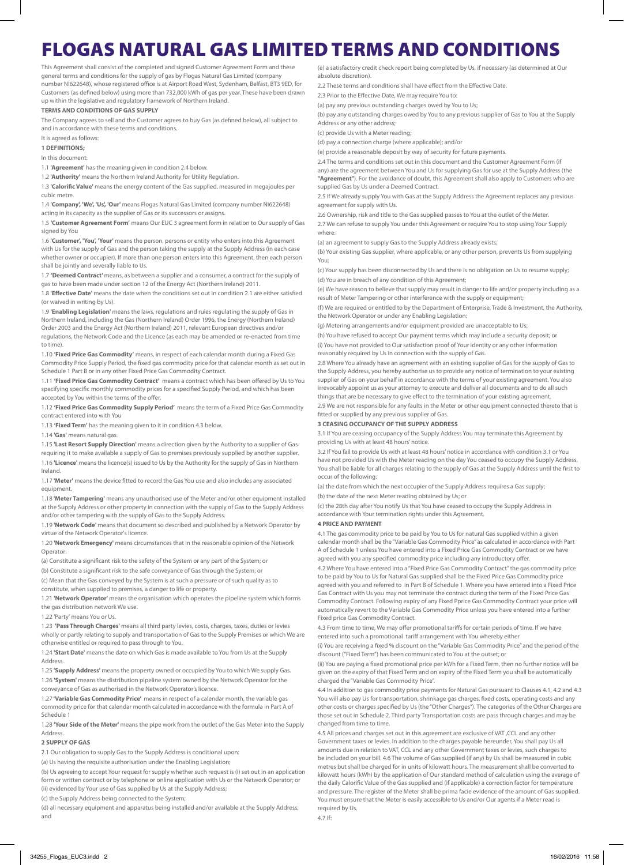## FLOGAS NATURAL GAS LIMITED TERMS AND CONDITIONS

This Agreement shall consist of the completed and signed Customer Agreement Form and these general terms and conditions for the supply of gas by Flogas Natural Gas Limited (company number NI622648), whose registered office is at Airport Road West, Sydenham, Belfast, BT3 9ED, for Customers (as defined below) using more than 732,000 kWh of gas per year. These have been drawn up within the legislative and regulatory framework of Northern Ireland.

#### **TERMS AND CONDITIONS OF GAS SUPPLY**

The Company agrees to sell and the Customer agrees to buy Gas (as defined below), all subject to and in accordance with these terms and conditions.

It is agreed as follows:

### **1 DEFINITIONS;**

In this document:

1.1 **'Agreement'** has the meaning given in condition 2.4 below.

1.2 **'Authority'** means the Northern Ireland Authority for Utility Regulation.

1.3 **'Calorific Value'** means the energy content of the Gas supplied, measured in megajoules per cubic metre.

1.4 **'Company', 'We', 'Us', 'Our'** means Flogas Natural Gas Limited (company number NI622648) acting in its capacity as the supplier of Gas or its successors or assigns.

1.5 **'Customer Agreement Form'** means Our EUC 3 agreement form in relation to Our supply of Gas signed by You

1.6 **'Customer', 'You', 'Your'** means the person, persons or entity who enters into this Agreement with Us for the supply of Gas and the person taking the supply at the Supply Address (in each case whether owner or occupier). If more than one person enters into this Agreement, then each person shall be jointly and severally liable to Us.

1.7 **'Deemed Contract'** means, as between a supplier and a consumer, a contract for the supply of gas to have been made under section 12 of the Energy Act (Northern Ireland) 2011.

1.8 **'Effective Date'** means the date when the conditions set out in condition 2.1 are either satisfied (or waived in writing by Us).

1.9 **'Enabling Legislation'** means the laws, regulations and rules regulating the supply of Gas in Northern Ireland, including the Gas (Northern Ireland) Order 1996, the Energy (Northern Ireland) Order 2003 and the Energy Act (Northern Ireland) 2011, relevant European directives and/or regulations, the Network Code and the Licence (as each may be amended or re-enacted from time to time).

1.10 **'Fixed Price Gas Commodity'** means, in respect of each calendar month during a Fixed Gas Commodity Price Supply Period, the fixed gas commodity price for that calendar month as set out in Schedule 1 Part B or in any other Fixed Price Gas Commodity Contract.

1.11 **'Fixed Price Gas Commodity Contract'** means a contract which has been offered by Us to You specifying specific monthly commodity prices for a specified Supply Period, and which has been accepted by You within the terms of the offer.

1.12 **'Fixed Price Gas Commodity Supply Period'** means the term of a Fixed Price Gas Commodity contract entered into with You

1.13 **'Fixed Term'** has the meaning given to it in condition 4.3 below.

1.14 **'Gas'** means natural gas.

1.15 **'Last Resort Supply Direction'** means a direction given by the Authority to a supplier of Gas

requiring it to make available a supply of Gas to premises previously supplied by another supplier. 1.16 **'Licence'** means the licence(s) issued to Us by the Authority for the supply of Gas in Northern Ireland.

1.17 **'Meter'** means the device fitted to record the Gas You use and also includes any associated equipment.

1.18 **'Meter Tampering'** means any unauthorised use of the Meter and/or other equipment installed at the Supply Address or other property in connection with the supply of Gas to the Supply Address and/or other tampering with the supply of Gas to the Supply Address.

1.19 **'Network Code'** means that document so described and published by a Network Operator by virtue of the Network Operator's licence.

1.20 **'Network Emergency'** means circumstances that in the reasonable opinion of the Network Operator:

(a) Constitute a significant risk to the safety of the System or any part of the System; or

(b) Constitute a significant risk to the safe conveyance of Gas through the System; or

(c) Mean that the Gas conveyed by the System is at such a pressure or of such quality as to constitute, when supplied to premises, a danger to life or property.

1.21 **'Network Operator'** means the organisation which operates the pipeline system which forms the gas distribution network We use.

1.22 'Party' means You or Us.

1.23  **'Pass Through Charges'** means all third party levies, costs, charges, taxes, duties or levies wholly or partly relating to supply and transportation of Gas to the Supply Premises or which We are otherwise entitled or required to pass through to You.

1.24 **'Start Date'** means the date on which Gas is made available to You from Us at the Supply Address.

1.25 **'Supply Address'** means the property owned or occupied by You to which We supply Gas. 1.26 **'System'** means the distribution pipeline system owned by the Network Operator for the conveyance of Gas as authorised in the Network Operator's licence.

1.27 **'Variable Gas Commodity Price'** means in respect of a calendar month, the variable gas commodity price for that calendar month calculated in accordance with the formula in Part A of Schedule 1

1.28 **'Your Side of the Meter'** means the pipe work from the outlet of the Gas Meter into the Supply Address.

#### **2 SUPPLY OF GAS**

2.1 Our obligation to supply Gas to the Supply Address is conditional upon:

(a) Us having the requisite authorisation under the Enabling Legislation;

(b) Us agreeing to accept Your request for supply whether such request is (i) set out in an application form or written contract or by telephone or online application with Us or the Network Operator; or (ii) evidenced by Your use of Gas supplied by Us at the Supply Address;

(c) the Supply Address being connected to the System;

(d) all necessary equipment and apparatus being installed and/or available at the Supply Address; and

(e) a satisfactory credit check report being completed by Us, if necessary (as determined at Our absolute discretion).

2.2 These terms and conditions shall have effect from the Effective Date

2.3 Prior to the Effective Date, We may require You to:

(a) pay any previous outstanding charges owed by You to Us;

(b) pay any outstanding charges owed by You to any previous supplier of Gas to You at the Supply Address or any other address;

(c) provide Us with a Meter reading;

(d) pay a connection charge (where applicable); and/or

(e) provide a reasonable deposit by way of security for future payments.

2.4 The terms and conditions set out in this document and the Customer Agreement Form (if any) are the agreement between You and Us for supplying Gas for use at the Supply Address (the **"Agreement"**). For the avoidance of doubt, this Agreement shall also apply to Customers who are

supplied Gas by Us under a Deemed Contract.

2.5 If We already supply You with Gas at the Supply Address the Agreement replaces any previous agreement for supply with Us.

2.6 Ownership, risk and title to the Gas supplied passes to You at the outlet of the Meter. 2.7 We can refuse to supply You under this Agreement or require You to stop using Your Supply where:

(a) an agreement to supply Gas to the Supply Address already exists;

(b) Your existing Gas supplier, where applicable, or any other person, prevents Us from supplying You;

(c) Your supply has been disconnected by Us and there is no obligation on Us to resume supply; (d) You are in breach of any condition of this Agreement;

(e) We have reason to believe that supply may result in danger to life and/or property including as a result of Meter Tampering or other interference with the supply or equipment:

(f) We are required or entitled to by the Department of Enterprise, Trade & Investment, the Authority, the Network Operator or under any Enabling Legislation;

(g) Metering arrangements and/or equipment provided are unacceptable to Us;

(h) You have refused to accept Our payment terms which may include a security deposit; or (i) You have not provided to Our satisfaction proof of Your identity or any other information reasonably required by Us in connection with the supply of Gas.

2.8 Where You already have an agreement with an existing supplier of Gas for the supply of Gas to the Supply Address, you hereby authorise us to provide any notice of termination to your existing supplier of Gas on your behalf in accordance with the terms of your existing agreement. You also irrevocably appoint us as your attorney to execute and deliver all documents and to do all such things that are be necessary to give effect to the termination of your existing agreement.

2.9 We are not responsible for any faults in the Meter or other equipment connected thereto that is fitted or supplied by any previous supplier of Gas.

#### **3 CEASING OCCUPANCY OF THE SUPPLY ADDRESS**

3.1 If You are ceasing occupancy of the Supply Address You may terminate this Agreement by providing Us with at least 48 hours' notice.

3.2 If You fail to provide Us with at least 48 hours' notice in accordance with condition 3.1 or You have not provided Us with the Meter reading on the day You ceased to occupy the Supply Address, You shall be liable for all charges relating to the supply of Gas at the Supply Address until the first to occur of the following:

(a) the date from which the next occupier of the Supply Address requires a Gas supply; (b) the date of the next Meter reading obtained by Us; or

(c) the 28th day after You notify Us that You have ceased to occupy the Supply Address in accordance with Your termination rights under this Agreement.

#### **4 PRICE AND PAYMENT**

4.1 The gas commodity price to be paid by You to Us for natural Gas supplied within a given calendar month shall be the "Variable Gas Commodity Price" as calculated in accordance with Part A of Schedule 1 unless You have entered into a Fixed Price Gas Commodity Contract or we have agreed with you any specified commodity price including any introductory offer.

4.2 Where You have entered into a "Fixed Price Gas Commodity Contract" the gas commodity price to be paid by You to Us for Natural Gas supplied shall be the Fixed Price Gas Commodity price agreed with you and referred to in Part B of Schedule 1. Where you have entered into a Fixed Price Gas Contract with Us you may not terminate the contract during the term of the Fixed Price Gas Commodity Contract. Following expiry of any Fixed Pprice Gas Commodity Contract your price will automatically revert to the Variable Gas Commodity Price unless you have entered into a further Fixed price Gas Commodity Contract.

4.3 From time to time, We may offer promotional tariffs for certain periods of time. If we have entered into such a promotional tariff arrangement with You whereby either

(i) You are receiving a fixed % discount on the "Variable Gas Commodity Price" and the period of the discount ("Fixed Term") has been communicated to You at the outset; or

(ii) You are paying a fixed promotional price per kWh for a Fixed Term, then no further notice will be given on the expiry of that Fixed Term and on expiry of the Fixed Term you shall be automatically charged the "Variable Gas Commodity Price".

4.4 In addition to gas commodity price payments for Natural Gas pursuant to Clauses 4.1, 4.2 and 4.3 You will also pay Us for transportation, shrinkage gas charges, fixed costs, operating costs and any other costs or charges specified by Us (the "Other Charges"). The categories of the Other Charges are those set out in Schedule 2. Third party Transportation costs are pass through charges and may be changed from time to time.

4.5 All prices and charges set out in this agreement are exclusive of VAT ,CCL and any other Government taxes or levies. In addition to the charges payable hereunder, You shall pay Us all amounts due in relation to VAT, CCL and any other Government taxes or levies, such charges to be included on your bill. 4.6 The volume of Gas supplied (if any) by Us shall be measured in cubic metres but shall be charged for in units of kilowatt hours. The measurement shall be converted to kilowatt hours (kWh) by the application of Our standard method of calculation using the average of the daily Calorific Value of the Gas supplied and (if applicable) a correction factor for temperature and pressure. The register of the Meter shall be prima facie evidence of the amount of Gas supplied. You must ensure that the Meter is easily accessible to Us and/or Our agents if a Meter read is required by Us.

4.7 If: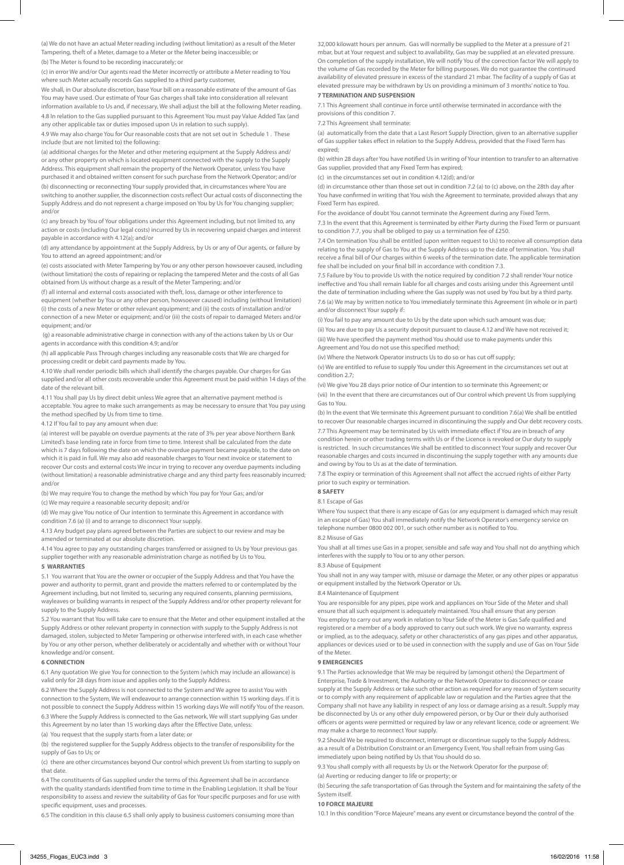(a) We do not have an actual Meter reading including (without limitation) as a result of the Meter Tampering, theft of a Meter, damage to a Meter or the Meter being inaccessible; or (b) The Meter is found to be recording inaccurately; or

(c) in error We and/or Our agents read the Meter incorrectly or attribute a Meter reading to You

where such Meter actually records Gas supplied to a third party customer, We shall, in Our absolute discretion, base Your bill on a reasonable estimate of the amount of Gas You may have used. Our estimate of Your Gas charges shall take into consideration all relevant information available to Us and, if necessary, We shall adjust the bill at the following Meter reading. 4.8 In relation to the Gas supplied pursuant to this Agreement You must pay Value Added Tax (and any other applicable tax or duties imposed upon Us in relation to such supply).

4.9 We may also charge You for Our reasonable costs that are not set out in Schedule 1 . These include (but are not limited to) the following:

(a) additional charges for the Meter and other metering equipment at the Supply Address and/ or any other property on which is located equipment connected with the supply to the Supply Address. This equipment shall remain the property of the Network Operator, unless You have purchased it and obtained written consent for such purchase from the Network Operator; and/or

(b) disconnecting or reconnecting Your supply provided that, in circumstances where You are switching to another supplier, the disconnection costs reflect Our actual costs of disconnecting the

Supply Address and do not represent a charge imposed on You by Us for You changing supplier; and/or

(c) any breach by You of Your obligations under this Agreement including, but not limited to, any action or costs (including Our legal costs) incurred by Us in recovering unpaid charges and interest payable in accordance with 4.12(a); and/or

(d) any attendance by appointment at the Supply Address, by Us or any of Our agents, or failure by You to attend an agreed appointment; and/or

(e) costs associated with Meter Tampering by You or any other person howsoever caused, including (without limitation) the costs of repairing or replacing the tampered Meter and the costs of all Gas obtained from Us without charge as a result of the Meter Tampering; and/or

(f) all internal and external costs associated with theft, loss, damage or other interference to equipment (whether by You or any other person, howsoever caused) including (without limitation) (i) the costs of a new Meter or other relevant equipment; and (ii) the costs of installation and/or connection of a new Meter or equipment; and/or (iii) the costs of repair to damaged Meters and/or equipment; and/or

 (g) a reasonable administrative charge in connection with any of the actions taken by Us or Our agents in accordance with this condition 4.9; and/or

(h) all applicable Pass Through charges including any reasonable costs that We are charged for processing credit or debit card payments made by You.

4.10 We shall render periodic bills which shall identify the charges payable. Our charges for Gas supplied and/or all other costs recoverable under this Agreement must be paid within 14 days of the date of the relevant bill.

4.11 You shall pay Us by direct debit unless We agree that an alternative payment method is acceptable. You agree to make such arrangements as may be necessary to ensure that You pay using the method specified by Us from time to time.

4.12 If You fail to pay any amount when due:

(a) interest will be payable on overdue payments at the rate of 3% per year above Northern Bank Limited's base lending rate in force from time to time. Interest shall be calculated from the date which is 7 days following the date on which the overdue payment became payable, to the date on which it is paid in full. We may also add reasonable charges to Your next invoice or statement to recover Our costs and external costs We incur in trying to recover any overdue payments including (without limitation) a reasonable administrative charge and any third party fees reasonably incurred; and/or

(b) We may require You to change the method by which You pay for Your Gas; and/or (c) We may require a reasonable security deposit; and/or

(d) We may give You notice of Our intention to terminate this Agreement in accordance with condition 7.6 (a) (i) and to arrange to disconnect Your supply.

4.13 Any budget pay plans agreed between the Parties are subject to our review and may be amended or terminated at our absolute discretion.

4.14 You agree to pay any outstanding charges transferred or assigned to Us by Your previous gas supplier together with any reasonable administration charge as notified by Us to You.

#### **5 WARRANTIES**

5.1 You warrant that You are the owner or occupier of the Supply Address and that You have the power and authority to permit, grant and provide the matters referred to or contemplated by the Agreement including, but not limited to, securing any required consents, planning permissions, wayleaves or building warrants in respect of the Supply Address and/or other property relevant for supply to the Supply Address.

5.2 You warrant that You will take care to ensure that the Meter and other equipment installed at the Supply Address or other relevant property in connection with supply to the Supply Address is not damaged, stolen, subjected to Meter Tampering or otherwise interfered with, in each case whether by You or any other person, whether deliberately or accidentally and whether with or without Your knowledge and/or consent.

#### **6 CONNECTION**

6.1 Any quotation We give You for connection to the System (which may include an allowance) is valid only for 28 days from issue and applies only to the Supply Address.

6.2 Where the Supply Address is not connected to the System and We agree to assist You with connection to the System, We will endeavour to arrange connection within 15 working days. If it is not possible to connect the Supply Address within 15 working days We will notify You of the reason. 6.3 Where the Supply Address is connected to the Gas network, We will start supplying Gas under

this Agreement by no later than 15 working days after the Effective Date, unless:

(a) You request that the supply starts from a later date; or

(b) the registered supplier for the Supply Address objects to the transfer of responsibility for the supply of Gas to Us; or

(c) there are other circumstances beyond Our control which prevent Us from starting to supply on that date.

6.4 The constituents of Gas supplied under the terms of this Agreement shall be in accordance with the quality standards identified from time to time in the Enabling Legislation. It shall be Your responsibility to assess and review the suitability of Gas for Your specific purposes and for use with specific equipment, uses and processes.

6.5 The condition in this clause 6.5 shall only apply to business customers consuming more than

32,000 kilowatt hours per annum. Gas will normally be supplied to the Meter at a pressure of 21 mbar, but at Your request and subject to availability, Gas may be supplied at an elevated pressure. On completion of the supply installation, We will notify You of the correction factor We will apply to the volume of Gas recorded by the Meter for billing purposes. We do not guarantee the continued availability of elevated pressure in excess of the standard 21 mbar. The facility of a supply of Gas at elevated pressure may be withdrawn by Us on providing a minimum of 3 months' notice to You. **7 TERMINATION AND SUSPENSION**

7.1 This Agreement shall continue in force until otherwise terminated in accordance with the provisions of this condition 7.

7.2 This Agreement shall terminate:

(a) automatically from the date that a Last Resort Supply Direction, given to an alternative supplier of Gas supplier takes effect in relation to the Supply Address, provided that the Fixed Term has expired;

(b) within 28 days after You have notified Us in writing of Your intention to transfer to an alternative Gas supplier, provided that any Fixed Term has expired;

(c) in the circumstances set out in condition 4.12(d); and/or

(d) in circumstance other than those set out in condition 7.2 (a) to (c) above, on the 28th day after You have confirmed in writing that You wish the Agreement to terminate, provided always that any Fixed Term has expired.

For the avoidance of doubt You cannot terminate the Agreement during any Fixed Term. 7.3 In the event that this Agreement is terminated by either Party during the Fixed Term or pursuant

to condition 7.7, you shall be obliged to pay us a termination fee of £250. 7.4 On termination You shall be entitled (upon written request to Us) to receive all consumption data

relating to the supply of Gas to You at the Supply Address up to the date of termination. You shall receive a final bill of Our charges within 6 weeks of the termination date. The applicable termination fee shall be included on your final bill in accordance with condition 7.3.

7.5 Failure by You to provide Us with the notice required by condition 7.2 shall render Your notice ineffective and You shall remain liable for all charges and costs arising under this Agreement until the date of termination including where the Gas supply was not used by You but by a third party. 7.6 (a) We may by written notice to You immediately terminate this Agreement (in whole or in part) and/or disconnect Your supply if:

(i) You fail to pay any amount due to Us by the date upon which such amount was due;

(ii) You are due to pay Us a security deposit pursuant to clause 4.12 and We have not received it; (iii) We have specified the payment method You should use to make payments under this Agreement and You do not use this specified method;

(iv) Where the Network Operator instructs Us to do so or has cut off supply;

(v) We are entitled to refuse to supply You under this Agreement in the circumstances set out at condition 2.7;

(vi) We give You 28 days prior notice of Our intention to so terminate this Agreement; or (vii) In the event that there are circumstances out of Our control which prevent Us from supplying Gas to You.

(b) In the event that We terminate this Agreement pursuant to condition 7.6(a) We shall be entitled to recover Our reasonable charges incurred in discontinuing the supply and Our debt recovery costs.

7.7 This Agreement may be terminated by Us with immediate effect if You are in breach of any condition herein or other trading terms with Us or if the Licence is revoked or Our duty to supply is restricted. In such circumstances We shall be entitled to disconnect Your supply and recover Our reasonable charges and costs incurred in discontinuing the supply together with any amounts due and owing by You to Us as at the date of termination.

7.8 The expiry or termination of this Agreement shall not affect the accrued rights of either Party prior to such expiry or termination.

#### **8 SAFETY**

8.1 Escape of Gas

Where You suspect that there is any escape of Gas (or any equipment is damaged which may result in an escape of Gas) You shall immediately notify the Network Operator's emergency service on telephone number 0800 002 001, or such other number as is notified to You.

8.2 Misuse of Gas

You shall at all times use Gas in a proper, sensible and safe way and You shall not do anything which interferes with the supply to You or to any other person.

8.3 Abuse of Equipment

You shall not in any way tamper with, misuse or damage the Meter, or any other pipes or apparatus or equipment installed by the Network Operator or Us.

#### 8.4 Maintenance of Equipment

You are responsible for any pipes, pipe work and appliances on Your Side of the Meter and shall ensure that all such equipment is adequately maintained. You shall ensure that any person You employ to carry out any work in relation to Your Side of the Meter is Gas Safe qualified and registered or a member of a body approved to carry out such work. We give no warranty, express or implied, as to the adequacy, safety or other characteristics of any gas pipes and other apparatus, appliances or devices used or to be used in connection with the supply and use of Gas on Your Side of the Meter.

#### **9 EMERGENCIES**

9.1 The Parties acknowledge that We may be required by (amongst others) the Department of Enterprise, Trade & Investment, the Authority or the Network Operator to disconnect or cease supply at the Supply Address or take such other action as required for any reason of System security or to comply with any requirement of applicable law or regulation and the Parties agree that the Company shall not have any liability in respect of any loss or damage arising as a result. Supply may be disconnected by Us or any other duly empowered person, or by Our or their duly authorised officers or agents were permitted or required by law or any relevant licence, code or agreement. We may make a charge to reconnect Your supply.

9.2 Should We be required to disconnect, interrupt or discontinue supply to the Supply Address, as a result of a Distribution Constraint or an Emergency Event, You shall refrain from using Gas immediately upon being notified by Us that You should do so.

9.3 You shall comply with all requests by Us or the Network Operator for the purpose of: (a) Averting or reducing danger to life or property; or

(b) Securing the safe transportation of Gas through the System and for maintaining the safety of the System itself.

#### **10 FORCE MAJEURE**

10.1 In this condition "Force Majeure" means any event or circumstance beyond the control of the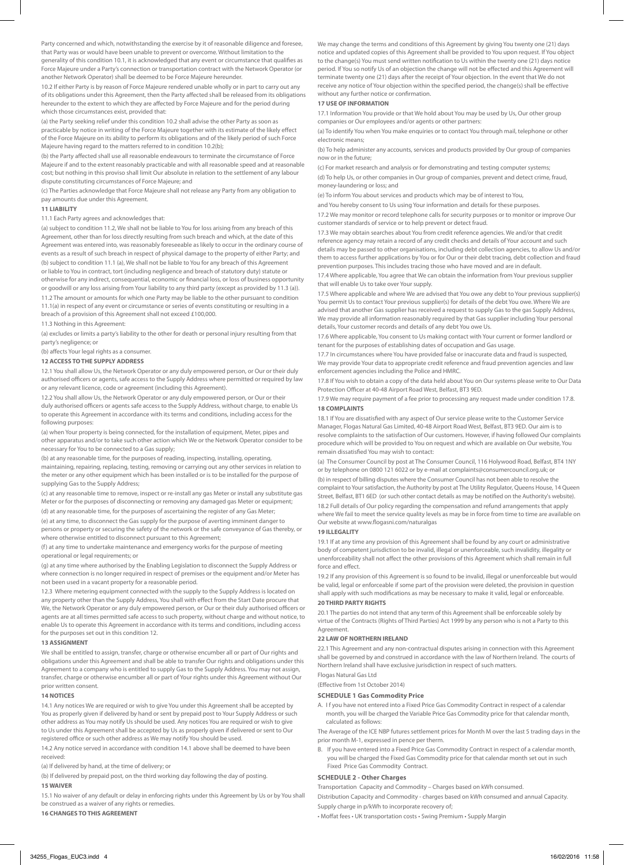Party concerned and which, notwithstanding the exercise by it of reasonable diligence and foresee, that Party was or would have been unable to prevent or overcome. Without limitation to the

generality of this condition 10.1, it is acknowledged that any event or circumstance that qualifies as Force Majeure under a Party's connection or transportation contract with the Network Operator (or another Network Operator) shall be deemed to be Force Majeure hereunder.

10.2 If either Party is by reason of Force Majeure rendered unable wholly or in part to carry out any of its obligations under this Agreement, then the Party affected shall be released from its obligations hereunder to the extent to which they are affected by Force Majeure and for the period during which those circumstances exist, provided that:

(a) the Party seeking relief under this condition 10.2 shall advise the other Party as soon as practicable by notice in writing of the Force Majeure together with its estimate of the likely effect of the Force Majeure on its ability to perform its obligations and of the likely period of such Force Majeure having regard to the matters referred to in condition 10.2(b);

(b) the Party affected shall use all reasonable endeavours to terminate the circumstance of Force Majeure if and to the extent reasonably practicable and with all reasonable speed and at reasonable cost; but nothing in this proviso shall limit Our absolute in relation to the settlement of any labour dispute constituting circumstances of Force Majeure; and

(c) The Parties acknowledge that Force Majeure shall not release any Party from any obligation to pay amounts due under this Agreement.

#### **11 LIABILITY**

#### 11.1 Each Party agrees and acknowledges that:

(a) subject to condition 11.2, We shall not be liable to You for loss arising from any breach of this Agreement, other than for loss directly resulting from such breach and which, at the date of this Agreement was entered into, was reasonably foreseeable as likely to occur in the ordinary course of events as a result of such breach in respect of physical damage to the property of either Party; and (b) subject to condition 11.1 (a), We shall not be liable to You for any breach of this Agreement

or liable to You in contract, tort (including negligence and breach of statutory duty) statute or otherwise for any indirect, consequential, economic or financial loss, or loss of business opportunity or goodwill or any loss arising from Your liability to any third party (except as provided by 11.3 (a)). 11.2 The amount or amounts for which one Party may be liable to the other pursuant to condition 11.1(a) in respect of any event or circumstance or series of events constituting or resulting in a breach of a provision of this Agreement shall not exceed £100,000.

#### 11.3 Nothing in this Agreement:

(a) excludes or limits a party's liability to the other for death or personal injury resulting from that party's negligence; or

(b) affects Your legal rights as a consumer.

#### **12 ACCESS TO THE SUPPLY ADDRESS**

12.1 You shall allow Us, the Network Operator or any duly empowered person, or Our or their duly authorised officers or agents, safe access to the Supply Address where permitted or required by law or any relevant licence, code or agreement (including this Agreement).

12.2 You shall allow Us, the Network Operator or any duly empowered person, or Our or their duly authorised officers or agents safe access to the Supply Address, without charge, to enable Us to operate this Agreement in accordance with its terms and conditions, including access for the following purposes:

(a) when Your property is being connected, for the installation of equipment, Meter, pipes and other apparatus and/or to take such other action which We or the Network Operator consider to be necessary for You to be connected to a Gas supply;

(b) at any reasonable time, for the purposes of reading, inspecting, installing, operating, maintaining, repairing, replacing, testing, removing or carrying out any other services in relation to the meter or any other equipment which has been installed or is to be installed for the purpose of supplying Gas to the Supply Address;

(c) at any reasonable time to remove, inspect or re-install any gas Meter or install any substitute gas Meter or for the purposes of disconnecting or removing any damaged gas Meter or equipment; (d) at any reasonable time, for the purposes of ascertaining the register of any Gas Meter;

(e) at any time, to disconnect the Gas supply for the purpose of averting imminent danger to persons or property or securing the safety of the network or the safe conveyance of Gas thereby, or where otherwise entitled to disconnect pursuant to this Agreement;

(f) at any time to undertake maintenance and emergency works for the purpose of meeting operational or legal requirements; or

(g) at any time where authorised by the Enabling Legislation to disconnect the Supply Address or where connection is no longer required in respect of premises or the equipment and/or Meter has not been used in a vacant property for a reasonable period.

12.3 Where metering equipment connected with the supply to the Supply Address is located on any property other than the Supply Address, You shall with effect from the Start Date procure that We, the Network Operator or any duly empowered person, or Our or their duly authorised officers or agents are at all times permitted safe access to such property, without charge and without notice, to enable Us to operate this Agreement in accordance with its terms and conditions, including access for the purposes set out in this condition 12.

#### **13 ASSIGNMENT**

We shall be entitled to assign, transfer, charge or otherwise encumber all or part of Our rights and obligations under this Agreement and shall be able to transfer Our rights and obligations under this Agreement to a company who is entitled to supply Gas to the Supply Address. You may not assign, transfer, charge or otherwise encumber all or part of Your rights under this Agreement without Our prior written consent.

#### **14 NOTICES**

14.1 Any notices We are required or wish to give You under this Agreement shall be accepted by You as properly given if delivered by hand or sent by prepaid post to Your Supply Address or such other address as You may notify Us should be used. Any notices You are required or wish to give to Us under this Agreement shall be accepted by Us as properly given if delivered or sent to Our registered office or such other address as We may notify You should be used.

14.2 Any notice served in accordance with condition 14.1 above shall be deemed to have been received:

(a) If delivered by hand, at the time of delivery; or

(b) If delivered by prepaid post, on the third working day following the day of posting.

#### **15 WAIVER**

15.1 No waiver of any default or delay in enforcing rights under this Agreement by Us or by You shall be construed as a waiver of any rights or remedies.

**16 CHANGES TO THIS AGREEMENT**

We may change the terms and conditions of this Agreement by giving You twenty one (21) days notice and updated copies of this Agreement shall be provided to You upon request. If You object to the change(s) You must send written notification to Us within the twenty one (21) days notice period. If You so notify Us of an objection the change will not be effected and this Agreement will terminate twenty one (21) days after the receipt of Your objection. In the event that We do not receive any notice of Your objection within the specified period, the change(s) shall be effective without any further notice or confirmation.

#### **17 USE OF INFORMATION**

17.1 Information You provide or that We hold about You may be used by Us, Our other group companies or Our employees and/or agents or other partners:

(a) To identify You when You make enquiries or to contact You through mail, telephone or other electronic means;

(b) To help administer any accounts, services and products provided by Our group of companies now or in the future;

(c) For market research and analysis or for demonstrating and testing computer systems; (d) To help Us, or other companies in Our group of companies, prevent and detect crime, fraud, money-laundering or loss; and

(e) To inform You about services and products which may be of interest to You,

and You hereby consent to Us using Your information and details for these purposes.

17.2 We may monitor or record telephone calls for security purposes or to monitor or improve Our customer standards of service or to help prevent or detect fraud.

17.3 We may obtain searches about You from credit reference agencies. We and/or that credit reference agency may retain a record of any credit checks and details of Your account and such details may be passed to other organisations, including debt collection agencies, to allow Us and/or them to access further applications by You or for Our or their debt tracing, debt collection and fraud prevention purposes. This includes tracing those who have moved and are in default.

17.4 Where applicable, You agree that We can obtain the information from Your previous supplier that will enable Us to take over Your supply.

17.5 Where applicable and where We are advised that You owe any debt to Your previous supplier(s) You permit Us to contact Your previous supplier(s) for details of the debt You owe. Where We are advised that another Gas supplier has received a request to supply Gas to the gas Supply Address, We may provide all information reasonably required by that Gas supplier including Your personal details, Your customer records and details of any debt You owe Us.

17.6 Where applicable, You consent to Us making contact with Your current or former landlord or tenant for the purposes of establishing dates of occupation and Gas usage.

17.7 In circumstances where You have provided false or inaccurate data and fraud is suspected, We may provide Your data to appropriate credit reference and fraud prevention agencies and law enforcement agencies including the Police and HMRC.

17.8 If You wish to obtain a copy of the data held about You on Our systems please write to Our Data Protection Officer at 40-48 Airport Road West, Belfast, BT3 9ED.

17.9 We may require payment of a fee prior to processing any request made under condition 17.8. **18 COMPLAINTS**

#### 18.1 If You are dissatisfied with any aspect of Our service please write to the Customer Service Manager, Flogas Natural Gas Limited, 40-48 Airport Road West, Belfast, BT3 9ED. Our aim is to resolve complaints to the satisfaction of Our customers. However, if having followed Our complaints procedure which will be provided to You on request and which are available on Our website, You remain dissatisfied You may wish to contact:

(a) The Consumer Council by post at The Consumer Council, 116 Holywood Road, Belfast, BT4 1NY or by telephone on 0800 121 6022 or by e-mail at complaints@consumercouncil.org.uk; or

(b) in respect of billing disputes where the Consumer Council has not been able to resolve the complaint to Your satisfaction, the Authority by post at The Utility Regulator, Queens House, 14 Queen Street, Belfast, BT1 6ED (or such other contact details as may be notified on the Authority's website). 18.2 Full details of Our policy regarding the compensation and refund arrangements that apply where We fail to meet the service quality levels as may be in force from time to time are available on Our website at www.flogasni.com/naturalgas

#### **19 ILLEGALITY**

19.1 If at any time any provision of this Agreement shall be found by any court or administrative body of competent jurisdiction to be invalid, illegal or unenforceable, such invalidity, illegality or unenforceability shall not affect the other provisions of this Agreement which shall remain in full force and effect.

19.2 If any provision of this Agreement is so found to be invalid, illegal or unenforceable but would be valid, legal or enforceable if some part of the provision were deleted, the provision in question shall apply with such modifications as may be necessary to make it valid, legal or enforceable. **20 THIRD PARTY RIGHTS**

20.1 The parties do not intend that any term of this Agreement shall be enforceable solely by virtue of the Contracts (Rights of Third Parties) Act 1999 by any person who is not a Party to this Agreement.

#### **22 LAW OF NORTHERN IRELAND**

22.1 This Agreement and any non-contractual disputes arising in connection with this Agreement shall be governed by and construed in accordance with the law of Northern Ireland. The courts of Northern Ireland shall have exclusive jurisdiction in respect of such matters.

Flogas Natural Gas Ltd

### (Effective from 1st October 2014)

**SCHEDULE 1 Gas Commodity Price**

A. I f you have not entered into a Fixed Price Gas Commodity Contract in respect of a calendar month, you will be charged the Variable Price Gas Commodity price for that calendar month, calculated as follows:

The Average of the ICE NBP futures settlement prices for Month M over the last 5 trading days in the prior month M-1, expressed in pence per therm.

B. If you have entered into a Fixed Price Gas Commodity Contract in respect of a calendar month, you will be charged the Fixed Gas Commodity price for that calendar month set out in such Fixed Price Gas Commodity Contract.

### **SCHEDULE 2 - Other Charges**

Transportation Capacity and Commodity – Charges based on kWh consumed.

Distribution Capacity and Commodity - charges based on kWh consumed and annual Capacity. Supply charge in p/kWh to incorporate recovery of;

• Moffat fees • UK transportation costs • Swing Premium • Supply Margin